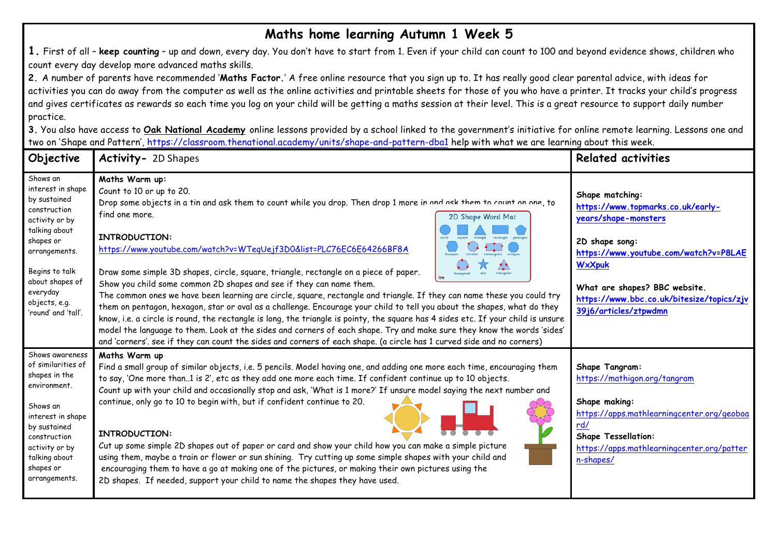## **Maths home learning Autumn 1 Week 5**

**1.** First of all – **keep counting** – up and down, every day. You don't have to start from 1. Even if your child can count to 100 and beyond evidence shows, children who count every day develop more advanced maths skills.

**2.** A number of parents have recommended '**Maths Factor.**' A free online resource that you sign up to. It has really good clear parental advice, with ideas for activities you can do away from the computer as well as the online activities and printable sheets for those of you who have a printer. It tracks your child's progress and gives certificates as rewards so each time you log on your child will be getting a maths session at their level. This is a great resource to support daily number practice.

**3.** You also have access to **Oak National Academy** online lessons provided by a school linked to the government's initiative for online remote learning. Lessons one and two on 'Shape and Pattern', https://classroom.thenational.academy/units/shape-and-pattern-dba1 help with what we are learning about this week.

| Objective                                                                                                                                                                                                               | Activity- 2D Shapes                                                                                                                                                                                                                                                                                                                                                                                                                                                                                                                                                                                                                                                                                                                                                                                                                                                                                                                                                                                                                                                                                                                     | <b>Related activities</b>                                                                                                                                                                                                                                       |
|-------------------------------------------------------------------------------------------------------------------------------------------------------------------------------------------------------------------------|-----------------------------------------------------------------------------------------------------------------------------------------------------------------------------------------------------------------------------------------------------------------------------------------------------------------------------------------------------------------------------------------------------------------------------------------------------------------------------------------------------------------------------------------------------------------------------------------------------------------------------------------------------------------------------------------------------------------------------------------------------------------------------------------------------------------------------------------------------------------------------------------------------------------------------------------------------------------------------------------------------------------------------------------------------------------------------------------------------------------------------------------|-----------------------------------------------------------------------------------------------------------------------------------------------------------------------------------------------------------------------------------------------------------------|
| Shows an<br>interest in shape<br>by sustained<br>construction<br>activity or by<br>talking about<br>shapes or<br>arrangements.<br>Begins to talk<br>about shapes of<br>everyday<br>objects, e.g.<br>'round' and 'tall'. | Maths Warm up:<br>Count to 10 or up to 20.<br>Drop some objects in a tin and ask them to count while you drop. Then drop 1 more in and ask them to count on one, to<br>find one more.<br>2D Shape Word Mat<br>INTRODUCTION:<br>https://www.youtube.com/watch?v=WTeqUejf3D0&list=PLC76EC6E64266BF8A<br>Draw some simple 3D shapes, circle, square, triangle, rectangle on a piece of paper.<br>triangula<br>hexagonal<br>Show you child some common 2D shapes and see if they can name them.<br>The common ones we have been learning are circle, square, rectangle and triangle. If they can name these you could try<br>them on pentagon, hexagon, star or oval as a challenge. Encourage your child to tell you about the shapes, what do they<br>know, i.e. a circle is round, the rectangle is long, the triangle is pointy, the square has 4 sides etc. If your child is unsure<br>model the language to them. Look at the sides and corners of each shape. Try and make sure they know the words 'sides'<br>and 'corners'. see if they can count the sides and corners of each shape. (a circle has 1 curved side and no corners) | Shape matching:<br>https://www.topmarks.co.uk/early-<br>years/shape-monsters<br>2D shape song:<br>https://www.youtube.com/watch?v=P8LAE<br><b>WxXpuk</b><br>What are shapes? BBC website.<br>https://www.bbc.co.uk/bitesize/topics/zjv<br>39j6/articles/ztpwdmn |
| Shows awareness<br>of similarities of<br>shapes in the<br>environment.<br>Shows an<br>interest in shape<br>by sustained<br>construction<br>activity or by<br>talking about<br>shapes or<br>arrangements.                | Maths Warm up<br>Find a small group of similar objects, i.e. 5 pencils. Model having one, and adding one more each time, encouraging them<br>to say, 'One more than1 is 2', etc as they add one more each time. If confident continue up to 10 objects.<br>Count up with your child and occasionally stop and ask, 'What is 1 more?' If unsure model saying the next number and<br>continue, only go to 10 to begin with, but if confident continue to 20.<br>INTRODUCTION:<br>Cut up some simple 2D shapes out of paper or card and show your child how you can make a simple picture<br>using them, maybe a train or flower or sun shining. Try cutting up some simple shapes with your child and<br>encouraging them to have a go at making one of the pictures, or making their own pictures using the<br>2D shapes. If needed, support your child to name the shapes they have used.                                                                                                                                                                                                                                               | Shape Tangram:<br>https://mathigon.org/tangram<br>Shape making:<br>https://apps.mathlearningcenter.org/geoboa<br>rd/<br><b>Shape Tessellation:</b><br>https://apps.mathlearningcenter.org/patter<br>n-shapes/                                                   |